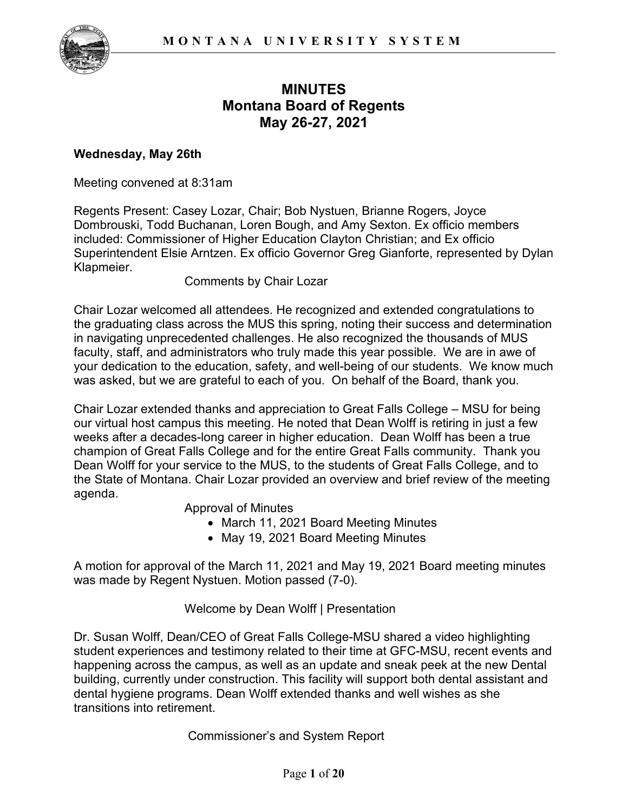

# **MINUTES Montana Board of Regents May 26-27, 2021**

### **Wednesday, May 26th**

Meeting convened at 8:31am

Regents Present: Casey Lozar, Chair; Bob Nystuen, Brianne Rogers, Joyce Dombrouski, Todd Buchanan, Loren Bough, and Amy Sexton. Ex officio members included: Commissioner of Higher Education Clayton Christian; and Ex officio Superintendent Elsie Arntzen. Ex officio Governor Greg Gianforte, represented by Dylan Klapmeier.

Comments by Chair Lozar

Chair Lozar welcomed all attendees. He recognized and extended congratulations to the graduating class across the MUS this spring, noting their success and determination in navigating unprecedented challenges. He also recognized the thousands of MUS faculty, staff, and administrators who truly made this year possible. We are in awe of your dedication to the education, safety, and well-being of our students. We know much was asked, but we are grateful to each of you. On behalf of the Board, thank you.

Chair Lozar extended thanks and appreciation to Great Falls College – MSU for being our virtual host campus this meeting. He noted that Dean Wolff is retiring in just a few weeks after a decades-long career in higher education. Dean Wolff has been a true champion of Great Falls College and for the entire Great Falls community. Thank you Dean Wolff for your service to the MUS, to the students of Great Falls College, and to the State of Montana. Chair Lozar provided an overview and brief review of the meeting agenda.

Approval of Minutes

- March 11, 2021 Board Meeting Minutes
- May 19, 2021 Board Meeting Minutes

A motion for approval of the March 11, 2021 and May 19, 2021 Board meeting minutes was made by Regent Nystuen. Motion passed (7-0).

Welcome by Dean Wolff | Presentation

Dr. Susan Wolff, Dean/CEO of Great Falls College-MSU shared a video highlighting student experiences and testimony related to their time at GFC-MSU, recent events and happening across the campus, as well as an update and sneak peek at the new Dental building, currently under construction. This facility will support both dental assistant and dental hygiene programs. Dean Wolff extended thanks and well wishes as she transitions into retirement.

Commissioner's and System Report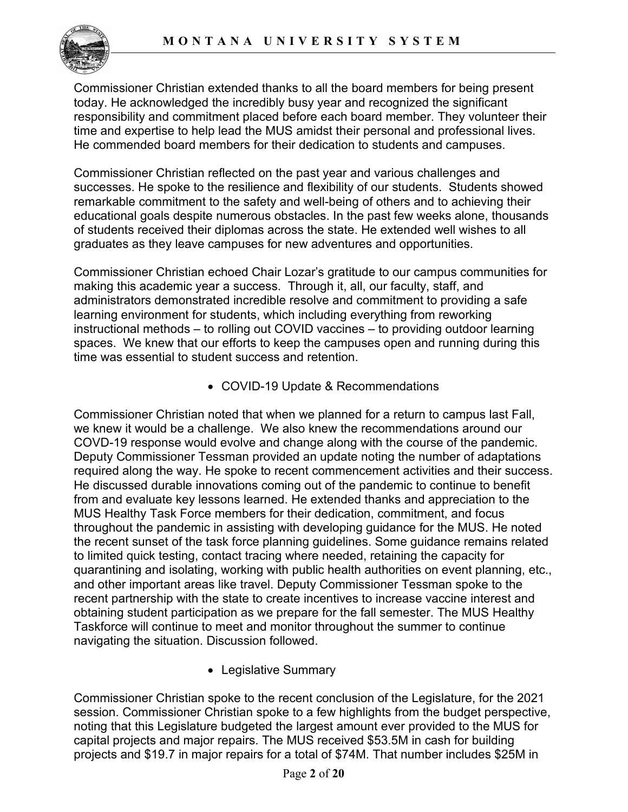

Commissioner Christian extended thanks to all the board members for being present today. He acknowledged the incredibly busy year and recognized the significant responsibility and commitment placed before each board member. They volunteer their time and expertise to help lead the MUS amidst their personal and professional lives. He commended board members for their dedication to students and campuses.

Commissioner Christian reflected on the past year and various challenges and successes. He spoke to the resilience and flexibility of our students. Students showed remarkable commitment to the safety and well-being of others and to achieving their educational goals despite numerous obstacles. In the past few weeks alone, thousands of students received their diplomas across the state. He extended well wishes to all graduates as they leave campuses for new adventures and opportunities.

Commissioner Christian echoed Chair Lozar's gratitude to our campus communities for making this academic year a success. Through it, all, our faculty, staff, and administrators demonstrated incredible resolve and commitment to providing a safe learning environment for students, which including everything from reworking instructional methods – to rolling out COVID vaccines – to providing outdoor learning spaces. We knew that our efforts to keep the campuses open and running during this time was essential to student success and retention.

• COVID-19 Update & Recommendations

Commissioner Christian noted that when we planned for a return to campus last Fall, we knew it would be a challenge. We also knew the recommendations around our COVD-19 response would evolve and change along with the course of the pandemic. Deputy Commissioner Tessman provided an update noting the number of adaptations required along the way. He spoke to recent commencement activities and their success. He discussed durable innovations coming out of the pandemic to continue to benefit from and evaluate key lessons learned. He extended thanks and appreciation to the MUS Healthy Task Force members for their dedication, commitment, and focus throughout the pandemic in assisting with developing guidance for the MUS. He noted the recent sunset of the task force planning guidelines. Some guidance remains related to limited quick testing, contact tracing where needed, retaining the capacity for quarantining and isolating, working with public health authorities on event planning, etc., and other important areas like travel. Deputy Commissioner Tessman spoke to the recent partnership with the state to create incentives to increase vaccine interest and obtaining student participation as we prepare for the fall semester. The MUS Healthy Taskforce will continue to meet and monitor throughout the summer to continue navigating the situation. Discussion followed.

• Legislative Summary

Commissioner Christian spoke to the recent conclusion of the Legislature, for the 2021 session. Commissioner Christian spoke to a few highlights from the budget perspective, noting that this Legislature budgeted the largest amount ever provided to the MUS for capital projects and major repairs. The MUS received \$53.5M in cash for building projects and \$19.7 in major repairs for a total of \$74M. That number includes \$25M in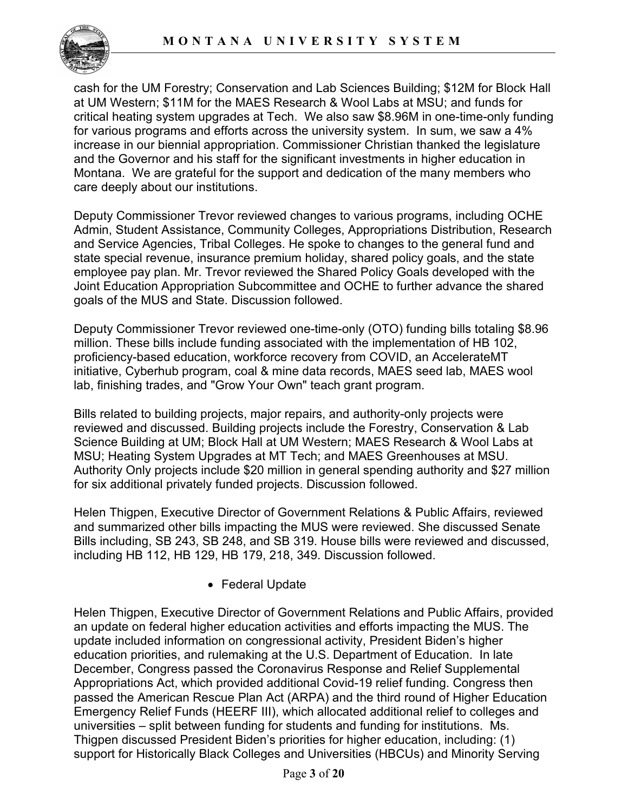

cash for the UM Forestry; Conservation and Lab Sciences Building; \$12M for Block Hall at UM Western; \$11M for the MAES Research & Wool Labs at MSU; and funds for critical heating system upgrades at Tech. We also saw \$8.96M in one-time-only funding for various programs and efforts across the university system. In sum, we saw a 4% increase in our biennial appropriation. Commissioner Christian thanked the legislature and the Governor and his staff for the significant investments in higher education in Montana. We are grateful for the support and dedication of the many members who care deeply about our institutions.

Deputy Commissioner Trevor reviewed changes to various programs, including OCHE Admin, Student Assistance, Community Colleges, Appropriations Distribution, Research and Service Agencies, Tribal Colleges. He spoke to changes to the general fund and state special revenue, insurance premium holiday, shared policy goals, and the state employee pay plan. Mr. Trevor reviewed the Shared Policy Goals developed with the Joint Education Appropriation Subcommittee and OCHE to further advance the shared goals of the MUS and State. Discussion followed.

Deputy Commissioner Trevor reviewed one-time-only (OTO) funding bills totaling \$8.96 million. These bills include funding associated with the implementation of HB 102, proficiency-based education, workforce recovery from COVID, an AccelerateMT initiative, Cyberhub program, coal & mine data records, MAES seed lab, MAES wool lab, finishing trades, and "Grow Your Own" teach grant program.

Bills related to building projects, major repairs, and authority-only projects were reviewed and discussed. Building projects include the Forestry, Conservation & Lab Science Building at UM; Block Hall at UM Western; MAES Research & Wool Labs at MSU; Heating System Upgrades at MT Tech; and MAES Greenhouses at MSU. Authority Only projects include \$20 million in general spending authority and \$27 million for six additional privately funded projects. Discussion followed.

Helen Thigpen, Executive Director of Government Relations & Public Affairs, reviewed and summarized other bills impacting the MUS were reviewed. She discussed Senate Bills including, SB 243, SB 248, and SB 319. House bills were reviewed and discussed, including HB 112, HB 129, HB 179, 218, 349. Discussion followed.

• Federal Update

Helen Thigpen, Executive Director of Government Relations and Public Affairs, provided an update on federal higher education activities and efforts impacting the MUS. The update included information on congressional activity, President Biden's higher education priorities, and rulemaking at the U.S. Department of Education. In late December, Congress passed the Coronavirus Response and Relief Supplemental Appropriations Act, which provided additional Covid-19 relief funding. Congress then passed the American Rescue Plan Act (ARPA) and the third round of Higher Education Emergency Relief Funds (HEERF III), which allocated additional relief to colleges and universities – split between funding for students and funding for institutions. Ms. Thigpen discussed President Biden's priorities for higher education, including: (1) support for Historically Black Colleges and Universities (HBCUs) and Minority Serving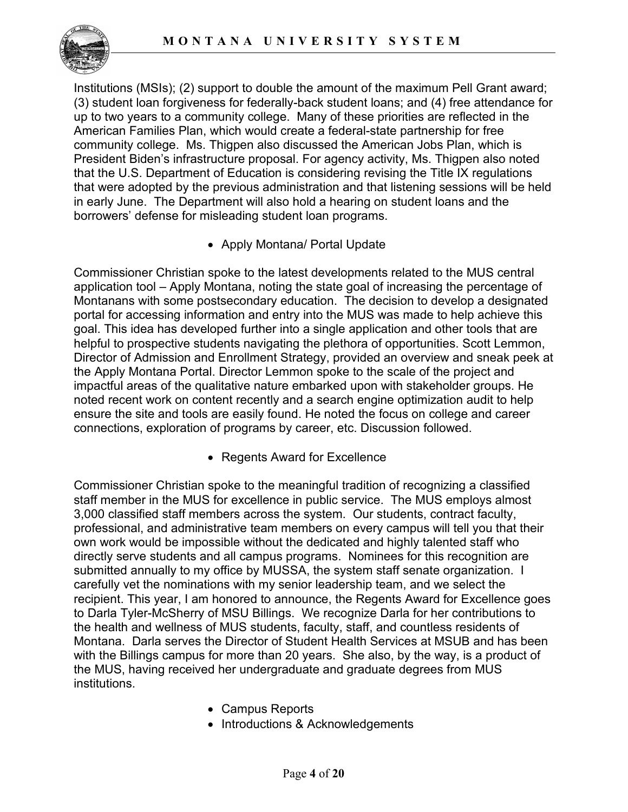

Institutions (MSIs); (2) support to double the amount of the maximum Pell Grant award; (3) student loan forgiveness for federally-back student loans; and (4) free attendance for up to two years to a community college. Many of these priorities are reflected in the American Families Plan, which would create a federal-state partnership for free community college. Ms. Thigpen also discussed the American Jobs Plan, which is President Biden's infrastructure proposal. For agency activity, Ms. Thigpen also noted that the U.S. Department of Education is considering revising the Title IX regulations that were adopted by the previous administration and that listening sessions will be held in early June. The Department will also hold a hearing on student loans and the borrowers' defense for misleading student loan programs.

• Apply Montana/ Portal Update

Commissioner Christian spoke to the latest developments related to the MUS central application tool – Apply Montana, noting the state goal of increasing the percentage of Montanans with some postsecondary education. The decision to develop a designated portal for accessing information and entry into the MUS was made to help achieve this goal. This idea has developed further into a single application and other tools that are helpful to prospective students navigating the plethora of opportunities. Scott Lemmon, Director of Admission and Enrollment Strategy, provided an overview and sneak peek at the Apply Montana Portal. Director Lemmon spoke to the scale of the project and impactful areas of the qualitative nature embarked upon with stakeholder groups. He noted recent work on content recently and a search engine optimization audit to help ensure the site and tools are easily found. He noted the focus on college and career connections, exploration of programs by career, etc. Discussion followed.

• Regents Award for Excellence

Commissioner Christian spoke to the meaningful tradition of recognizing a classified staff member in the MUS for excellence in public service. The MUS employs almost 3,000 classified staff members across the system. Our students, contract faculty, professional, and administrative team members on every campus will tell you that their own work would be impossible without the dedicated and highly talented staff who directly serve students and all campus programs. Nominees for this recognition are submitted annually to my office by MUSSA, the system staff senate organization. I carefully vet the nominations with my senior leadership team, and we select the recipient. This year, I am honored to announce, the Regents Award for Excellence goes to Darla Tyler-McSherry of MSU Billings. We recognize Darla for her contributions to the health and wellness of MUS students, faculty, staff, and countless residents of Montana. Darla serves the Director of Student Health Services at MSUB and has been with the Billings campus for more than 20 years. She also, by the way, is a product of the MUS, having received her undergraduate and graduate degrees from MUS institutions.

- Campus Reports
- Introductions & Acknowledgements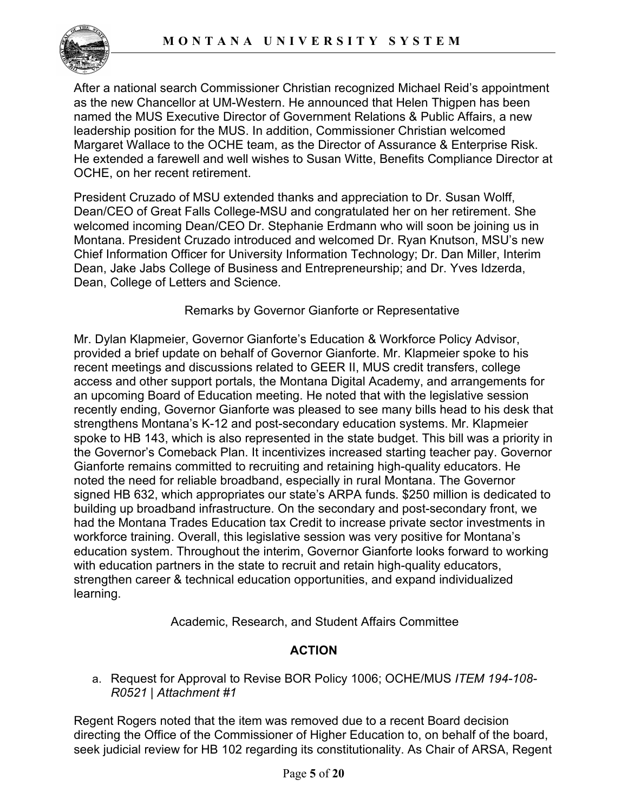

After a national search Commissioner Christian recognized Michael Reid's appointment as the new Chancellor at UM-Western. He announced that Helen Thigpen has been named the MUS Executive Director of Government Relations & Public Affairs, a new leadership position for the MUS. In addition, Commissioner Christian welcomed Margaret Wallace to the OCHE team, as the Director of Assurance & Enterprise Risk. He extended a farewell and well wishes to Susan Witte, Benefits Compliance Director at OCHE, on her recent retirement.

President Cruzado of MSU extended thanks and appreciation to Dr. Susan Wolff, Dean/CEO of Great Falls College-MSU and congratulated her on her retirement. She welcomed incoming Dean/CEO Dr. Stephanie Erdmann who will soon be joining us in Montana. President Cruzado introduced and welcomed Dr. Ryan Knutson, MSU's new Chief Information Officer for University Information Technology; Dr. Dan Miller, Interim Dean, Jake Jabs College of Business and Entrepreneurship; and Dr. Yves Idzerda, Dean, College of Letters and Science.

### Remarks by Governor Gianforte or Representative

Mr. Dylan Klapmeier, Governor Gianforte's Education & Workforce Policy Advisor, provided a brief update on behalf of Governor Gianforte. Mr. Klapmeier spoke to his recent meetings and discussions related to GEER II, MUS credit transfers, college access and other support portals, the Montana Digital Academy, and arrangements for an upcoming Board of Education meeting. He noted that with the legislative session recently ending, Governor Gianforte was pleased to see many bills head to his desk that strengthens Montana's K-12 and post-secondary education systems. Mr. Klapmeier spoke to HB 143, which is also represented in the state budget. This bill was a priority in the Governor's Comeback Plan. It incentivizes increased starting teacher pay. Governor Gianforte remains committed to recruiting and retaining high-quality educators. He noted the need for reliable broadband, especially in rural Montana. The Governor signed HB 632, which appropriates our state's ARPA funds. \$250 million is dedicated to building up broadband infrastructure. On the secondary and post-secondary front, we had the Montana Trades Education tax Credit to increase private sector investments in workforce training. Overall, this legislative session was very positive for Montana's education system. Throughout the interim, Governor Gianforte looks forward to working with education partners in the state to recruit and retain high-quality educators, strengthen career & technical education opportunities, and expand individualized learning.

Academic, Research, and Student Affairs Committee

# **ACTION**

a. Request for Approval to Revise BOR Policy 1006; OCHE/MUS *ITEM 194-108- R0521 | Attachment #1*

Regent Rogers noted that the item was removed due to a recent Board decision directing the Office of the Commissioner of Higher Education to, on behalf of the board, seek judicial review for HB 102 regarding its constitutionality. As Chair of ARSA, Regent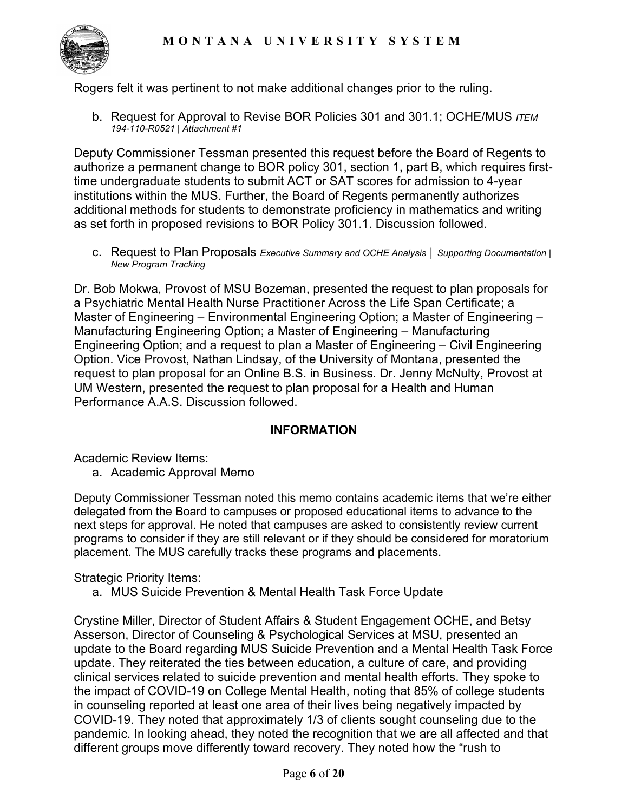

Rogers felt it was pertinent to not make additional changes prior to the ruling.

b. Request for Approval to Revise BOR Policies 301 and 301.1; OCHE/MUS *ITEM 194-110-R0521 | Attachment #1*

Deputy Commissioner Tessman presented this request before the Board of Regents to authorize a permanent change to BOR policy 301, section 1, part B, which requires firsttime undergraduate students to submit ACT or SAT scores for admission to 4-year institutions within the MUS. Further, the Board of Regents permanently authorizes additional methods for students to demonstrate proficiency in mathematics and writing as set forth in proposed revisions to BOR Policy 301.1. Discussion followed.

c. Request to Plan Proposals *Executive Summary and OCHE Analysis │ Supporting Documentation | New Program Tracking*

Dr. Bob Mokwa, Provost of MSU Bozeman, presented the request to plan proposals for a Psychiatric Mental Health Nurse Practitioner Across the Life Span Certificate; a Master of Engineering – Environmental Engineering Option; a Master of Engineering – Manufacturing Engineering Option; a Master of Engineering – Manufacturing Engineering Option; and a request to plan a Master of Engineering – Civil Engineering Option. Vice Provost, Nathan Lindsay, of the University of Montana, presented the request to plan proposal for an Online B.S. in Business. Dr. Jenny McNulty, Provost at UM Western, presented the request to plan proposal for a Health and Human Performance A.A.S. Discussion followed.

### **INFORMATION**

Academic Review Items:

a. Academic Approval Memo

Deputy Commissioner Tessman noted this memo contains academic items that we're either delegated from the Board to campuses or proposed educational items to advance to the next steps for approval. He noted that campuses are asked to consistently review current programs to consider if they are still relevant or if they should be considered for moratorium placement. The MUS carefully tracks these programs and placements.

Strategic Priority Items:

a. MUS Suicide Prevention & Mental Health Task Force Update

Crystine Miller, Director of Student Affairs & Student Engagement OCHE, and Betsy Asserson, Director of Counseling & Psychological Services at MSU, presented an update to the Board regarding MUS Suicide Prevention and a Mental Health Task Force update. They reiterated the ties between education, a culture of care, and providing clinical services related to suicide prevention and mental health efforts. They spoke to the impact of COVID-19 on College Mental Health, noting that 85% of college students in counseling reported at least one area of their lives being negatively impacted by COVID-19. They noted that approximately 1/3 of clients sought counseling due to the pandemic. In looking ahead, they noted the recognition that we are all affected and that different groups move differently toward recovery. They noted how the "rush to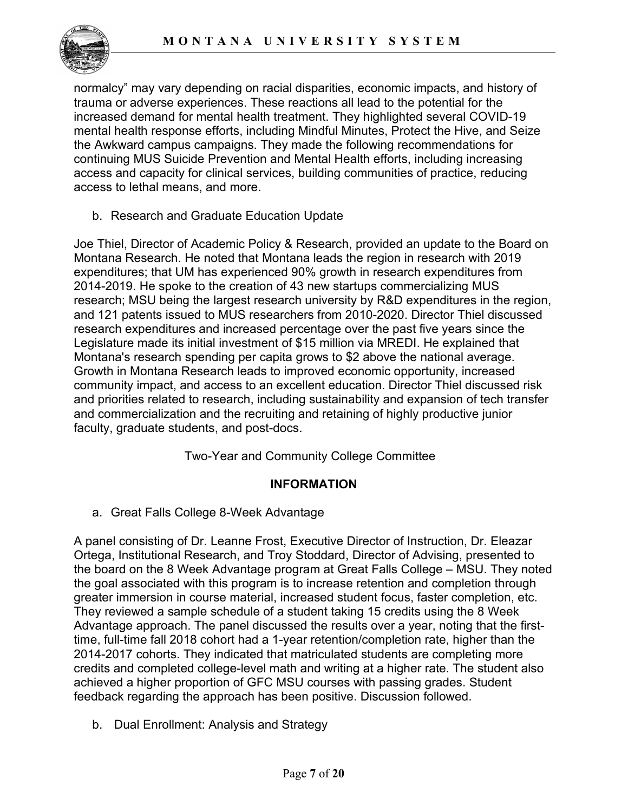

normalcy" may vary depending on racial disparities, economic impacts, and history of trauma or adverse experiences. These reactions all lead to the potential for the increased demand for mental health treatment. They highlighted several COVID-19 mental health response efforts, including Mindful Minutes, Protect the Hive, and Seize the Awkward campus campaigns. They made the following recommendations for continuing MUS Suicide Prevention and Mental Health efforts, including increasing access and capacity for clinical services, building communities of practice, reducing access to lethal means, and more.

b. Research and Graduate Education Update

Joe Thiel, Director of Academic Policy & Research, provided an update to the Board on Montana Research. He noted that Montana leads the region in research with 2019 expenditures; that UM has experienced 90% growth in research expenditures from 2014-2019. He spoke to the creation of 43 new startups commercializing MUS research; MSU being the largest research university by R&D expenditures in the region, and 121 patents issued to MUS researchers from 2010-2020. Director Thiel discussed research expenditures and increased percentage over the past five years since the Legislature made its initial investment of \$15 million via MREDI. He explained that Montana's research spending per capita grows to \$2 above the national average. Growth in Montana Research leads to improved economic opportunity, increased community impact, and access to an excellent education. Director Thiel discussed risk and priorities related to research, including sustainability and expansion of tech transfer and commercialization and the recruiting and retaining of highly productive junior faculty, graduate students, and post-docs.

Two-Year and Community College Committee

### **INFORMATION**

a. Great Falls College 8-Week Advantage

A panel consisting of Dr. Leanne Frost, Executive Director of Instruction, Dr. Eleazar Ortega, Institutional Research, and Troy Stoddard, Director of Advising, presented to the board on the 8 Week Advantage program at Great Falls College – MSU. They noted the goal associated with this program is to increase retention and completion through greater immersion in course material, increased student focus, faster completion, etc. They reviewed a sample schedule of a student taking 15 credits using the 8 Week Advantage approach. The panel discussed the results over a year, noting that the firsttime, full-time fall 2018 cohort had a 1-year retention/completion rate, higher than the 2014-2017 cohorts. They indicated that matriculated students are completing more credits and completed college-level math and writing at a higher rate. The student also achieved a higher proportion of GFC MSU courses with passing grades. Student feedback regarding the approach has been positive. Discussion followed.

b. Dual Enrollment: Analysis and Strategy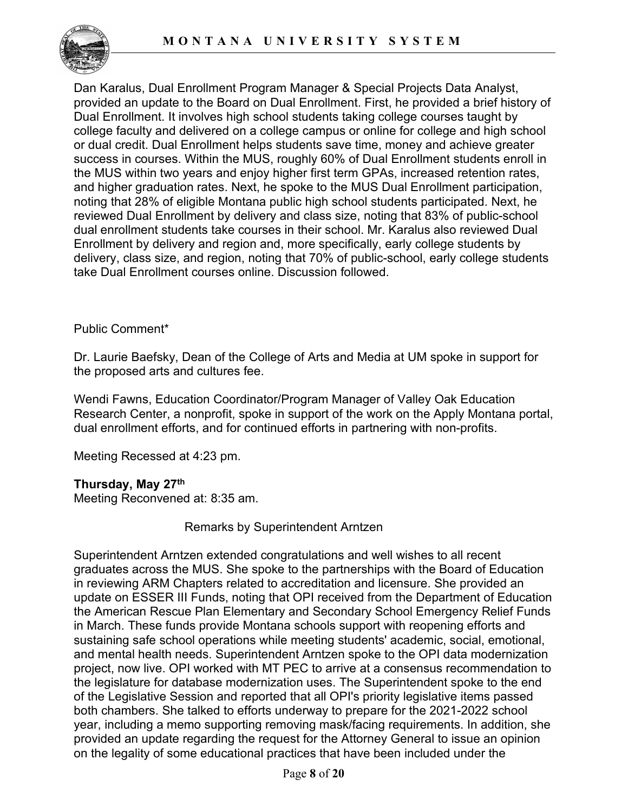

Dan Karalus, Dual Enrollment Program Manager & Special Projects Data Analyst, provided an update to the Board on Dual Enrollment. First, he provided a brief history of Dual Enrollment. It involves high school students taking college courses taught by college faculty and delivered on a college campus or online for college and high school or dual credit. Dual Enrollment helps students save time, money and achieve greater success in courses. Within the MUS, roughly 60% of Dual Enrollment students enroll in the MUS within two years and enjoy higher first term GPAs, increased retention rates, and higher graduation rates. Next, he spoke to the MUS Dual Enrollment participation, noting that 28% of eligible Montana public high school students participated. Next, he reviewed Dual Enrollment by delivery and class size, noting that 83% of public-school dual enrollment students take courses in their school. Mr. Karalus also reviewed Dual Enrollment by delivery and region and, more specifically, early college students by delivery, class size, and region, noting that 70% of public-school, early college students take Dual Enrollment courses online. Discussion followed.

### Public Comment\*

Dr. Laurie Baefsky, Dean of the College of Arts and Media at UM spoke in support for the proposed arts and cultures fee.

Wendi Fawns, Education Coordinator/Program Manager of Valley Oak Education Research Center, a nonprofit, spoke in support of the work on the Apply Montana portal, dual enrollment efforts, and for continued efforts in partnering with non-profits.

Meeting Recessed at 4:23 pm.

### **Thursday, May 27th**

Meeting Reconvened at: 8:35 am.

### Remarks by Superintendent Arntzen

Superintendent Arntzen extended congratulations and well wishes to all recent graduates across the MUS. She spoke to the partnerships with the Board of Education in reviewing ARM Chapters related to accreditation and licensure. She provided an update on ESSER III Funds, noting that OPI received from the Department of Education the American Rescue Plan Elementary and Secondary School Emergency Relief Funds in March. These funds provide Montana schools support with reopening efforts and sustaining safe school operations while meeting students' academic, social, emotional, and mental health needs. Superintendent Arntzen spoke to the OPI data modernization project, now live. OPI worked with MT PEC to arrive at a consensus recommendation to the legislature for database modernization uses. The Superintendent spoke to the end of the Legislative Session and reported that all OPI's priority legislative items passed both chambers. She talked to efforts underway to prepare for the 2021-2022 school year, including a memo supporting removing mask/facing requirements. In addition, she provided an update regarding the request for the Attorney General to issue an opinion on the legality of some educational practices that have been included under the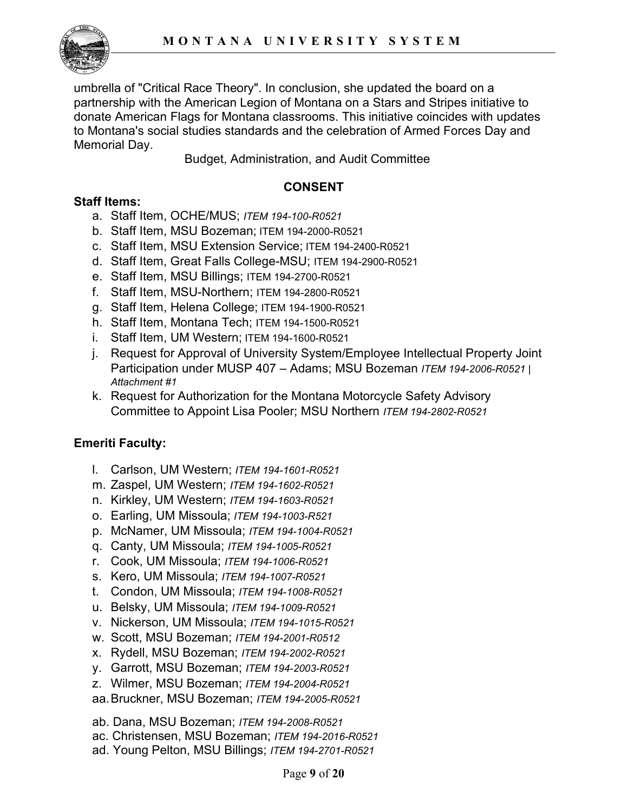

umbrella of "Critical Race Theory". In conclusion, she updated the board on a partnership with the American Legion of Montana on a Stars and Stripes initiative to donate American Flags for Montana classrooms. This initiative coincides with updates to Montana's social studies standards and the celebration of Armed Forces Day and Memorial Day.

Budget, Administration, and Audit Committee

# **CONSENT**

# **Staff Items:**

- a. Staff Item, OCHE/MUS; *ITEM 194-100-R0521*
- b. Staff Item, MSU Bozeman; ITEM 194-2000-R0521
- c. Staff Item, MSU Extension Service; ITEM 194-2400-R0521
- d. Staff Item, Great Falls College-MSU; ITEM 194-2900-R0521
- e. Staff Item, MSU Billings; ITEM 194-2700-R0521
- f. Staff Item, MSU-Northern; ITEM 194-2800-R0521
- g. Staff Item, Helena College; ITEM 194-1900-R0521
- h. Staff Item, Montana Tech; ITEM 194-1500-R0521
- i. Staff Item, UM Western; ITEM 194-1600-R0521
- j. Request for Approval of University System/Employee Intellectual Property Joint Participation under MUSP 407 – Adams; MSU Bozeman *ITEM 194-2006-R0521 | Attachment #1*
- k. Request for Authorization for the Montana Motorcycle Safety Advisory Committee to Appoint Lisa Pooler; MSU Northern *ITEM 194-2802-R0521*

# **Emeriti Faculty:**

- l. Carlson, UM Western; *ITEM 194-1601-R0521*
- m. Zaspel, UM Western; *ITEM 194-1602-R0521*
- n. Kirkley, UM Western; *ITEM 194-1603-R0521*
- o. Earling, UM Missoula; *ITEM 194-1003-R521*
- p. McNamer, UM Missoula; *ITEM 194-1004-R0521*
- q. Canty, UM Missoula; *ITEM 194-1005-R0521*
- r. Cook, UM Missoula; *ITEM 194-1006-R0521*
- s. Kero, UM Missoula; *ITEM 194-1007-R0521*
- t. Condon, UM Missoula; *ITEM 194-1008-R0521*
- u. Belsky, UM Missoula; *ITEM 194-1009-R0521*
- v. Nickerson, UM Missoula; *ITEM 194-1015-R0521*
- w. Scott, MSU Bozeman; *ITEM 194-2001-R0512*
- x. Rydell, MSU Bozeman; *ITEM 194-2002-R0521*
- y. Garrott, MSU Bozeman; *ITEM 194-2003-R0521*
- z. Wilmer, MSU Bozeman; *ITEM 194-2004-R0521*
- aa.Bruckner, MSU Bozeman; *ITEM 194-2005-R0521*
- ab. Dana, MSU Bozeman; *ITEM 194-2008-R0521*
- ac. Christensen, MSU Bozeman; *ITEM 194-2016-R0521*
- ad. Young Pelton, MSU Billings; *ITEM 194-2701-R0521*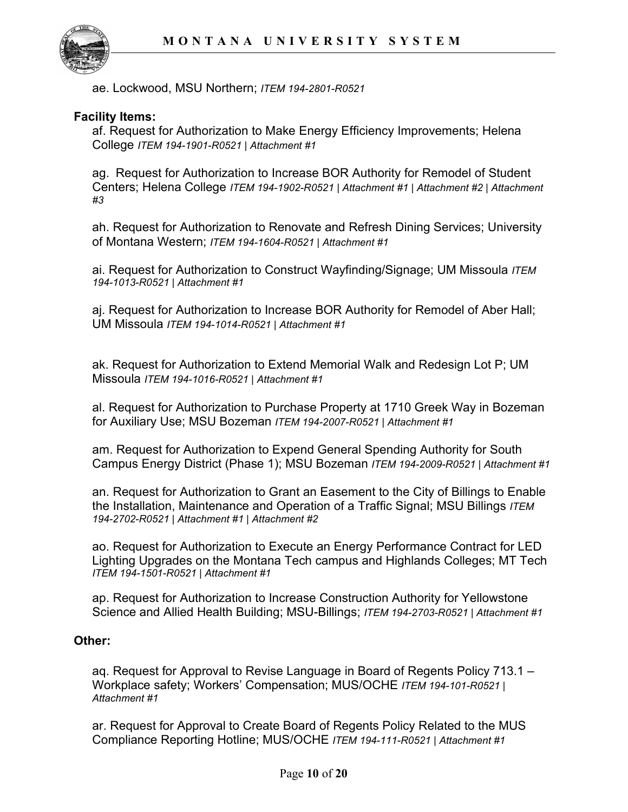

ae. Lockwood, MSU Northern; *ITEM 194-2801-R0521*

#### **Facility Items:**

af. Request for Authorization to Make Energy Efficiency Improvements; Helena College *ITEM 194-1901-R0521 | Attachment #1*

ag. Request for Authorization to Increase BOR Authority for Remodel of Student Centers; Helena College *ITEM 194-1902-R0521 | Attachment #1 | Attachment #2 | Attachment #3*

ah. Request for Authorization to Renovate and Refresh Dining Services; University of Montana Western; *ITEM 194-1604-R0521 | Attachment #1*

ai. Request for Authorization to Construct Wayfinding/Signage; UM Missoula *ITEM 194-1013-R0521 | Attachment #1*

aj. Request for Authorization to Increase BOR Authority for Remodel of Aber Hall; UM Missoula *ITEM 194-1014-R0521 | Attachment #1*

ak. Request for Authorization to Extend Memorial Walk and Redesign Lot P; UM Missoula *ITEM 194-1016-R0521 | Attachment #1*

al. Request for Authorization to Purchase Property at 1710 Greek Way in Bozeman for Auxiliary Use; MSU Bozeman *ITEM 194-2007-R0521 | Attachment #1*

am. Request for Authorization to Expend General Spending Authority for South Campus Energy District (Phase 1); MSU Bozeman *ITEM 194-2009-R0521 | Attachment #1*

an. Request for Authorization to Grant an Easement to the City of Billings to Enable the Installation, Maintenance and Operation of a Traffic Signal; MSU Billings *ITEM 194-2702-R0521 | Attachment #1 | Attachment #2*

ao. Request for Authorization to Execute an Energy Performance Contract for LED Lighting Upgrades on the Montana Tech campus and Highlands Colleges; MT Tech *ITEM 194-1501-R0521 | Attachment #1*

ap. Request for Authorization to Increase Construction Authority for Yellowstone Science and Allied Health Building; MSU-Billings; *ITEM 194-2703-R0521 | Attachment #1* 

### **Other:**

aq. Request for Approval to Revise Language in Board of Regents Policy 713.1 – Workplace safety; Workers' Compensation; MUS/OCHE *ITEM 194-101-R0521 | Attachment #1*

ar. Request for Approval to Create Board of Regents Policy Related to the MUS Compliance Reporting Hotline; MUS/OCHE *ITEM 194-111-R0521 | Attachment #1*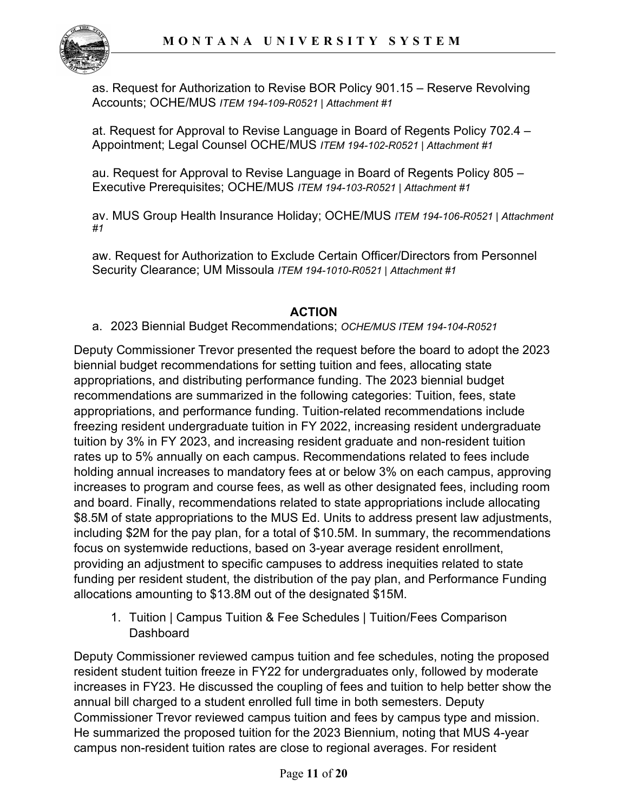

as. Request for Authorization to Revise BOR Policy 901.15 – Reserve Revolving Accounts; OCHE/MUS *ITEM 194-109-R0521 | Attachment #1*

at. Request for Approval to Revise Language in Board of Regents Policy 702.4 – Appointment; Legal Counsel OCHE/MUS *ITEM 194-102-R0521 | Attachment #1*

au. Request for Approval to Revise Language in Board of Regents Policy 805 – Executive Prerequisites; OCHE/MUS *ITEM 194-103-R0521 | Attachment #1*

av. MUS Group Health Insurance Holiday; OCHE/MUS *ITEM 194-106-R0521 | Attachment #1*

aw. Request for Authorization to Exclude Certain Officer/Directors from Personnel Security Clearance; UM Missoula *ITEM 194-1010-R0521 | Attachment #1*

# **ACTION**

a. 2023 Biennial Budget Recommendations; *OCHE/MUS ITEM 194-104-R0521*

Deputy Commissioner Trevor presented the request before the board to adopt the 2023 biennial budget recommendations for setting tuition and fees, allocating state appropriations, and distributing performance funding. The 2023 biennial budget recommendations are summarized in the following categories: Tuition, fees, state appropriations, and performance funding. Tuition-related recommendations include freezing resident undergraduate tuition in FY 2022, increasing resident undergraduate tuition by 3% in FY 2023, and increasing resident graduate and non-resident tuition rates up to 5% annually on each campus. Recommendations related to fees include holding annual increases to mandatory fees at or below 3% on each campus, approving increases to program and course fees, as well as other designated fees, including room and board. Finally, recommendations related to state appropriations include allocating \$8.5M of state appropriations to the MUS Ed. Units to address present law adjustments, including \$2M for the pay plan, for a total of \$10.5M. In summary, the recommendations focus on systemwide reductions, based on 3-year average resident enrollment, providing an adjustment to specific campuses to address inequities related to state funding per resident student, the distribution of the pay plan, and Performance Funding allocations amounting to \$13.8M out of the designated \$15M.

1. Tuition | Campus Tuition & Fee Schedules | Tuition/Fees Comparison **Dashboard** 

Deputy Commissioner reviewed campus tuition and fee schedules, noting the proposed resident student tuition freeze in FY22 for undergraduates only, followed by moderate increases in FY23. He discussed the coupling of fees and tuition to help better show the annual bill charged to a student enrolled full time in both semesters. Deputy Commissioner Trevor reviewed campus tuition and fees by campus type and mission. He summarized the proposed tuition for the 2023 Biennium, noting that MUS 4-year campus non-resident tuition rates are close to regional averages. For resident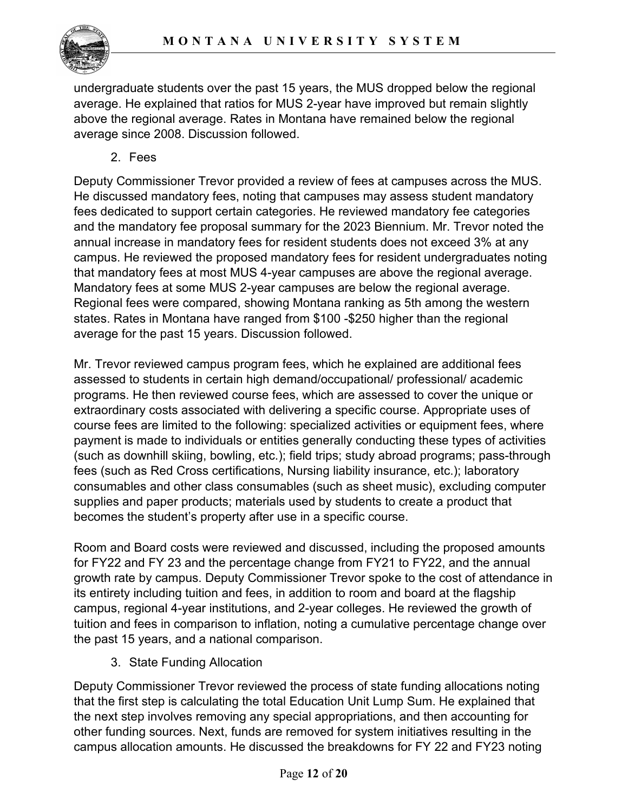

undergraduate students over the past 15 years, the MUS dropped below the regional average. He explained that ratios for MUS 2-year have improved but remain slightly above the regional average. Rates in Montana have remained below the regional average since 2008. Discussion followed.

2. Fees

Deputy Commissioner Trevor provided a review of fees at campuses across the MUS. He discussed mandatory fees, noting that campuses may assess student mandatory fees dedicated to support certain categories. He reviewed mandatory fee categories and the mandatory fee proposal summary for the 2023 Biennium. Mr. Trevor noted the annual increase in mandatory fees for resident students does not exceed 3% at any campus. He reviewed the proposed mandatory fees for resident undergraduates noting that mandatory fees at most MUS 4-year campuses are above the regional average. Mandatory fees at some MUS 2-year campuses are below the regional average. Regional fees were compared, showing Montana ranking as 5th among the western states. Rates in Montana have ranged from \$100 -\$250 higher than the regional average for the past 15 years. Discussion followed.

Mr. Trevor reviewed campus program fees, which he explained are additional fees assessed to students in certain high demand/occupational/ professional/ academic programs. He then reviewed course fees, which are assessed to cover the unique or extraordinary costs associated with delivering a specific course. Appropriate uses of course fees are limited to the following: specialized activities or equipment fees, where payment is made to individuals or entities generally conducting these types of activities (such as downhill skiing, bowling, etc.); field trips; study abroad programs; pass-through fees (such as Red Cross certifications, Nursing liability insurance, etc.); laboratory consumables and other class consumables (such as sheet music), excluding computer supplies and paper products; materials used by students to create a product that becomes the student's property after use in a specific course.

Room and Board costs were reviewed and discussed, including the proposed amounts for FY22 and FY 23 and the percentage change from FY21 to FY22, and the annual growth rate by campus. Deputy Commissioner Trevor spoke to the cost of attendance in its entirety including tuition and fees, in addition to room and board at the flagship campus, regional 4-year institutions, and 2-year colleges. He reviewed the growth of tuition and fees in comparison to inflation, noting a cumulative percentage change over the past 15 years, and a national comparison.

3. State Funding Allocation

Deputy Commissioner Trevor reviewed the process of state funding allocations noting that the first step is calculating the total Education Unit Lump Sum. He explained that the next step involves removing any special appropriations, and then accounting for other funding sources. Next, funds are removed for system initiatives resulting in the campus allocation amounts. He discussed the breakdowns for FY 22 and FY23 noting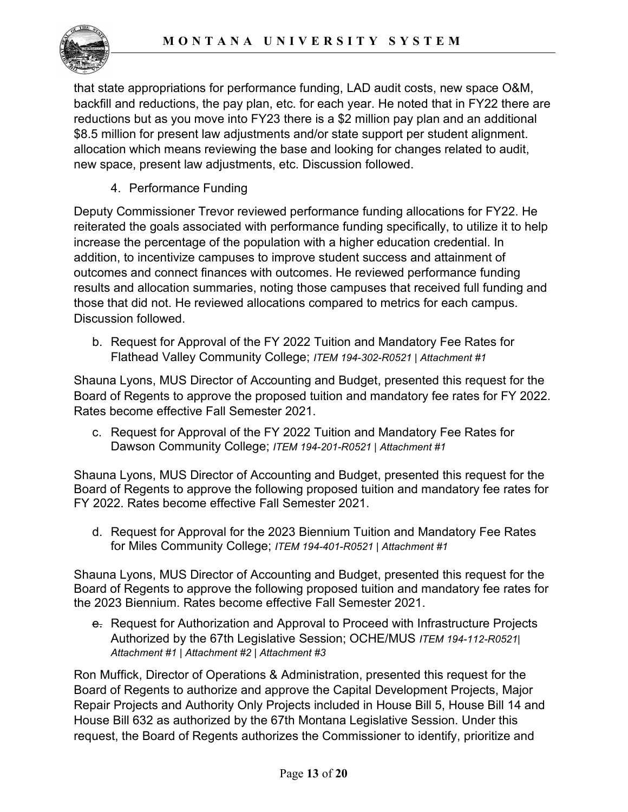

that state appropriations for performance funding, LAD audit costs, new space O&M, backfill and reductions, the pay plan, etc. for each year. He noted that in FY22 there are reductions but as you move into FY23 there is a \$2 million pay plan and an additional \$8.5 million for present law adjustments and/or state support per student alignment. allocation which means reviewing the base and looking for changes related to audit, new space, present law adjustments, etc. Discussion followed.

4. Performance Funding

Deputy Commissioner Trevor reviewed performance funding allocations for FY22. He reiterated the goals associated with performance funding specifically, to utilize it to help increase the percentage of the population with a higher education credential. In addition, to incentivize campuses to improve student success and attainment of outcomes and connect finances with outcomes. He reviewed performance funding results and allocation summaries, noting those campuses that received full funding and those that did not. He reviewed allocations compared to metrics for each campus. Discussion followed.

b. Request for Approval of the FY 2022 Tuition and Mandatory Fee Rates for Flathead Valley Community College; *ITEM 194-302-R0521 | Attachment #1*

Shauna Lyons, MUS Director of Accounting and Budget, presented this request for the Board of Regents to approve the proposed tuition and mandatory fee rates for FY 2022. Rates become effective Fall Semester 2021.

c. Request for Approval of the FY 2022 Tuition and Mandatory Fee Rates for Dawson Community College; *ITEM 194-201-R0521 | Attachment #1*

Shauna Lyons, MUS Director of Accounting and Budget, presented this request for the Board of Regents to approve the following proposed tuition and mandatory fee rates for FY 2022. Rates become effective Fall Semester 2021.

d. Request for Approval for the 2023 Biennium Tuition and Mandatory Fee Rates for Miles Community College; *ITEM 194-401-R0521 | Attachment #1*

Shauna Lyons, MUS Director of Accounting and Budget, presented this request for the Board of Regents to approve the following proposed tuition and mandatory fee rates for the 2023 Biennium. Rates become effective Fall Semester 2021.

e. Request for Authorization and Approval to Proceed with Infrastructure Projects Authorized by the 67th Legislative Session; OCHE/MUS *ITEM 194-112-R0521| Attachment #1 | Attachment #2 | Attachment #3*

Ron Muffick, Director of Operations & Administration, presented this request for the Board of Regents to authorize and approve the Capital Development Projects, Major Repair Projects and Authority Only Projects included in House Bill 5, House Bill 14 and House Bill 632 as authorized by the 67th Montana Legislative Session. Under this request, the Board of Regents authorizes the Commissioner to identify, prioritize and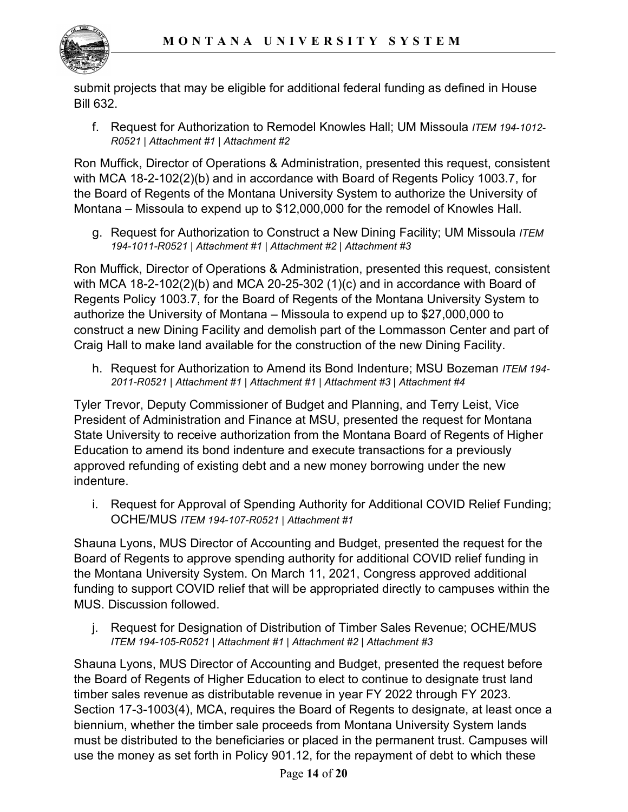

submit projects that may be eligible for additional federal funding as defined in House Bill 632.

f. Request for Authorization to Remodel Knowles Hall; UM Missoula *ITEM 194-1012- R0521 | Attachment #1 | Attachment #2*

Ron Muffick, Director of Operations & Administration, presented this request, consistent with MCA 18-2-102(2)(b) and in accordance with Board of Regents Policy 1003.7, for the Board of Regents of the Montana University System to authorize the University of Montana – Missoula to expend up to \$12,000,000 for the remodel of Knowles Hall.

g. Request for Authorization to Construct a New Dining Facility; UM Missoula *ITEM 194-1011-R0521 | Attachment #1 | Attachment #2 | Attachment #3*

Ron Muffick, Director of Operations & Administration, presented this request, consistent with MCA 18-2-102(2)(b) and MCA 20-25-302 (1)(c) and in accordance with Board of Regents Policy 1003.7, for the Board of Regents of the Montana University System to authorize the University of Montana – Missoula to expend up to \$27,000,000 to construct a new Dining Facility and demolish part of the Lommasson Center and part of Craig Hall to make land available for the construction of the new Dining Facility.

h. Request for Authorization to Amend its Bond Indenture; MSU Bozeman *ITEM 194- 2011-R0521 | Attachment #1 | Attachment #1 | Attachment #3 | Attachment #4*

Tyler Trevor, Deputy Commissioner of Budget and Planning, and Terry Leist, Vice President of Administration and Finance at MSU, presented the request for Montana State University to receive authorization from the Montana Board of Regents of Higher Education to amend its bond indenture and execute transactions for a previously approved refunding of existing debt and a new money borrowing under the new indenture.

i. Request for Approval of Spending Authority for Additional COVID Relief Funding; OCHE/MUS *ITEM 194-107-R0521 | Attachment #1*

Shauna Lyons, MUS Director of Accounting and Budget, presented the request for the Board of Regents to approve spending authority for additional COVID relief funding in the Montana University System. On March 11, 2021, Congress approved additional funding to support COVID relief that will be appropriated directly to campuses within the MUS. Discussion followed.

j. Request for Designation of Distribution of Timber Sales Revenue; OCHE/MUS *ITEM 194-105-R0521 | Attachment #1 | Attachment #2 | Attachment #3*

Shauna Lyons, MUS Director of Accounting and Budget, presented the request before the Board of Regents of Higher Education to elect to continue to designate trust land timber sales revenue as distributable revenue in year FY 2022 through FY 2023. Section 17-3-1003(4), MCA, requires the Board of Regents to designate, at least once a biennium, whether the timber sale proceeds from Montana University System lands must be distributed to the beneficiaries or placed in the permanent trust. Campuses will use the money as set forth in Policy 901.12, for the repayment of debt to which these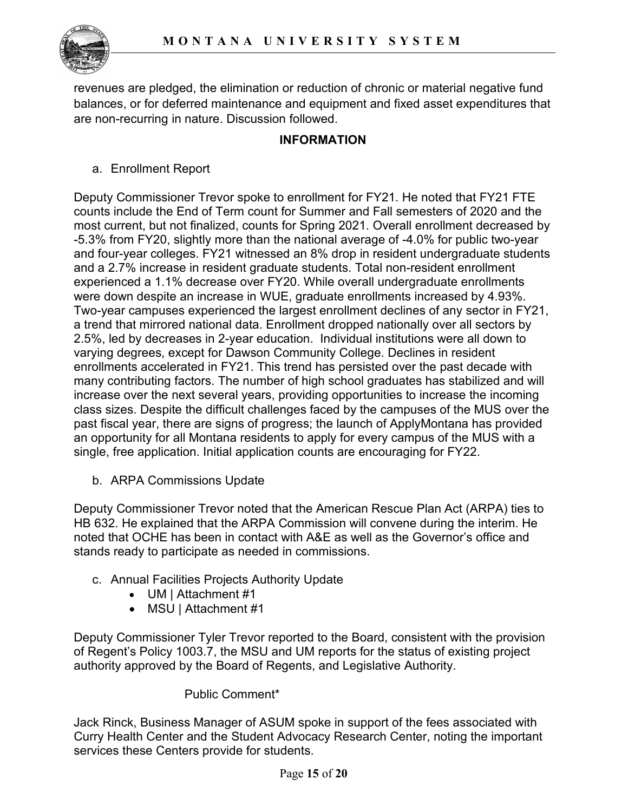

revenues are pledged, the elimination or reduction of chronic or material negative fund balances, or for deferred maintenance and equipment and fixed asset expenditures that are non-recurring in nature. Discussion followed.

## **INFORMATION**

a. Enrollment Report

Deputy Commissioner Trevor spoke to enrollment for FY21. He noted that FY21 FTE counts include the End of Term count for Summer and Fall semesters of 2020 and the most current, but not finalized, counts for Spring 2021. Overall enrollment decreased by -5.3% from FY20, slightly more than the national average of -4.0% for public two-year and four-year colleges. FY21 witnessed an 8% drop in resident undergraduate students and a 2.7% increase in resident graduate students. Total non-resident enrollment experienced a 1.1% decrease over FY20. While overall undergraduate enrollments were down despite an increase in WUE, graduate enrollments increased by 4.93%. Two-year campuses experienced the largest enrollment declines of any sector in FY21, a trend that mirrored national data. Enrollment dropped nationally over all sectors by 2.5%, led by decreases in 2-year education. Individual institutions were all down to varying degrees, except for Dawson Community College. Declines in resident enrollments accelerated in FY21. This trend has persisted over the past decade with many contributing factors. The number of high school graduates has stabilized and will increase over the next several years, providing opportunities to increase the incoming class sizes. Despite the difficult challenges faced by the campuses of the MUS over the past fiscal year, there are signs of progress; the launch of ApplyMontana has provided an opportunity for all Montana residents to apply for every campus of the MUS with a single, free application. Initial application counts are encouraging for FY22.

b. ARPA Commissions Update

Deputy Commissioner Trevor noted that the American Rescue Plan Act (ARPA) ties to HB 632. He explained that the ARPA Commission will convene during the interim. He noted that OCHE has been in contact with A&E as well as the Governor's office and stands ready to participate as needed in commissions.

- c. Annual Facilities Projects Authority Update
	- UM | Attachment #1
	- MSU | Attachment #1

Deputy Commissioner Tyler Trevor reported to the Board, consistent with the provision of Regent's Policy 1003.7, the MSU and UM reports for the status of existing project authority approved by the Board of Regents, and Legislative Authority.

### Public Comment\*

Jack Rinck, Business Manager of ASUM spoke in support of the fees associated with Curry Health Center and the Student Advocacy Research Center, noting the important services these Centers provide for students.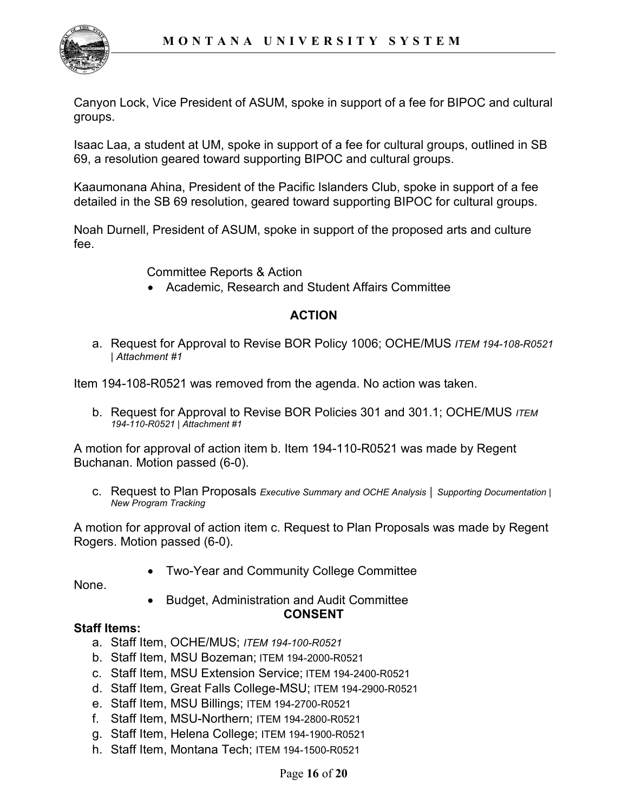

Canyon Lock, Vice President of ASUM, spoke in support of a fee for BIPOC and cultural groups.

Isaac Laa, a student at UM, spoke in support of a fee for cultural groups, outlined in SB 69, a resolution geared toward supporting BIPOC and cultural groups.

Kaaumonana Ahina, President of the Pacific Islanders Club, spoke in support of a fee detailed in the SB 69 resolution, geared toward supporting BIPOC for cultural groups.

Noah Durnell, President of ASUM, spoke in support of the proposed arts and culture fee.

Committee Reports & Action

• Academic, Research and Student Affairs Committee

# **ACTION**

a. Request for Approval to Revise BOR Policy 1006; OCHE/MUS *ITEM 194-108-R0521 | Attachment #1*

Item 194-108-R0521 was removed from the agenda. No action was taken.

b. Request for Approval to Revise BOR Policies 301 and 301.1; OCHE/MUS *ITEM 194-110-R0521 | Attachment #1*

A motion for approval of action item b. Item 194-110-R0521 was made by Regent Buchanan. Motion passed (6-0).

c. Request to Plan Proposals *Executive Summary and OCHE Analysis │ Supporting Documentation | New Program Tracking*

A motion for approval of action item c. Request to Plan Proposals was made by Regent Rogers. Motion passed (6-0).

• Two-Year and Community College Committee

None.

• Budget, Administration and Audit Committee **CONSENT**

### **Staff Items:**

- a. Staff Item, OCHE/MUS; *ITEM 194-100-R0521*
- b. Staff Item, MSU Bozeman; ITEM 194-2000-R0521
- c. Staff Item, MSU Extension Service; ITEM 194-2400-R0521
- d. Staff Item, Great Falls College-MSU; ITEM 194-2900-R0521
- e. Staff Item, MSU Billings; ITEM 194-2700-R0521
- f. Staff Item, MSU-Northern; ITEM 194-2800-R0521
- g. Staff Item, Helena College; ITEM 194-1900-R0521
- h. Staff Item, Montana Tech; ITEM 194-1500-R0521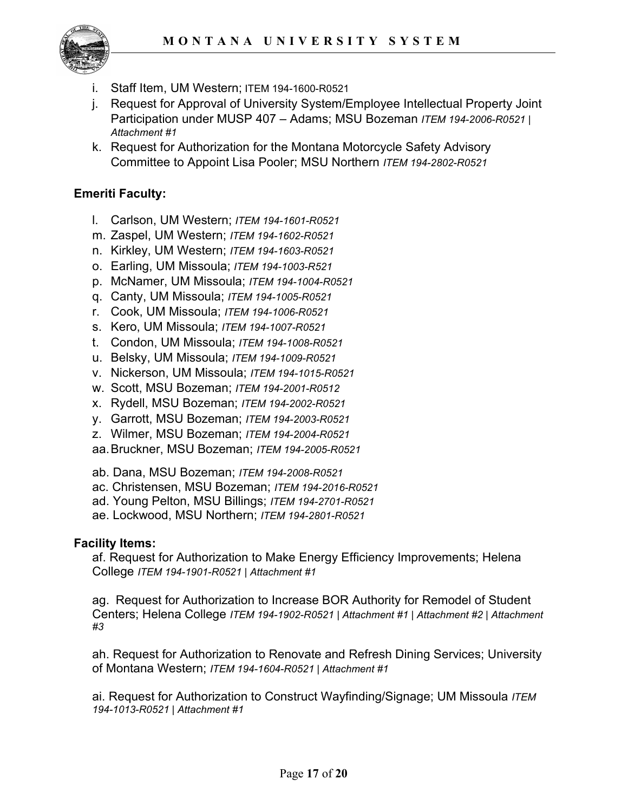

- Staff Item, UM Western; ITEM 194-1600-R0521
- j. Request for Approval of University System/Employee Intellectual Property Joint Participation under MUSP 407 – Adams; MSU Bozeman *ITEM 194-2006-R0521 | Attachment #1*
- k. Request for Authorization for the Montana Motorcycle Safety Advisory Committee to Appoint Lisa Pooler; MSU Northern *ITEM 194-2802-R0521*

## **Emeriti Faculty:**

- l. Carlson, UM Western; *ITEM 194-1601-R0521*
- m. Zaspel, UM Western; *ITEM 194-1602-R0521*
- n. Kirkley, UM Western; *ITEM 194-1603-R0521*
- o. Earling, UM Missoula; *ITEM 194-1003-R521*
- p. McNamer, UM Missoula; *ITEM 194-1004-R0521*
- q. Canty, UM Missoula; *ITEM 194-1005-R0521*
- r. Cook, UM Missoula; *ITEM 194-1006-R0521*
- s. Kero, UM Missoula; *ITEM 194-1007-R0521*
- t. Condon, UM Missoula; *ITEM 194-1008-R0521*
- u. Belsky, UM Missoula; *ITEM 194-1009-R0521*
- v. Nickerson, UM Missoula; *ITEM 194-1015-R0521*
- w. Scott, MSU Bozeman; *ITEM 194-2001-R0512*
- x. Rydell, MSU Bozeman; *ITEM 194-2002-R0521*
- y. Garrott, MSU Bozeman; *ITEM 194-2003-R0521*
- z. Wilmer, MSU Bozeman; *ITEM 194-2004-R0521*
- aa.Bruckner, MSU Bozeman; *ITEM 194-2005-R0521*
- ab. Dana, MSU Bozeman; *ITEM 194-2008-R0521*
- ac. Christensen, MSU Bozeman; *ITEM 194-2016-R0521*
- ad. Young Pelton, MSU Billings; *ITEM 194-2701-R0521*
- ae. Lockwood, MSU Northern; *ITEM 194-2801-R0521*

### **Facility Items:**

af. Request for Authorization to Make Energy Efficiency Improvements; Helena College *ITEM 194-1901-R0521 | Attachment #1*

ag. Request for Authorization to Increase BOR Authority for Remodel of Student Centers; Helena College *ITEM 194-1902-R0521 | Attachment #1 | Attachment #2 | Attachment #3*

ah. Request for Authorization to Renovate and Refresh Dining Services; University of Montana Western; *ITEM 194-1604-R0521 | Attachment #1*

ai. Request for Authorization to Construct Wayfinding/Signage; UM Missoula *ITEM 194-1013-R0521 | Attachment #1*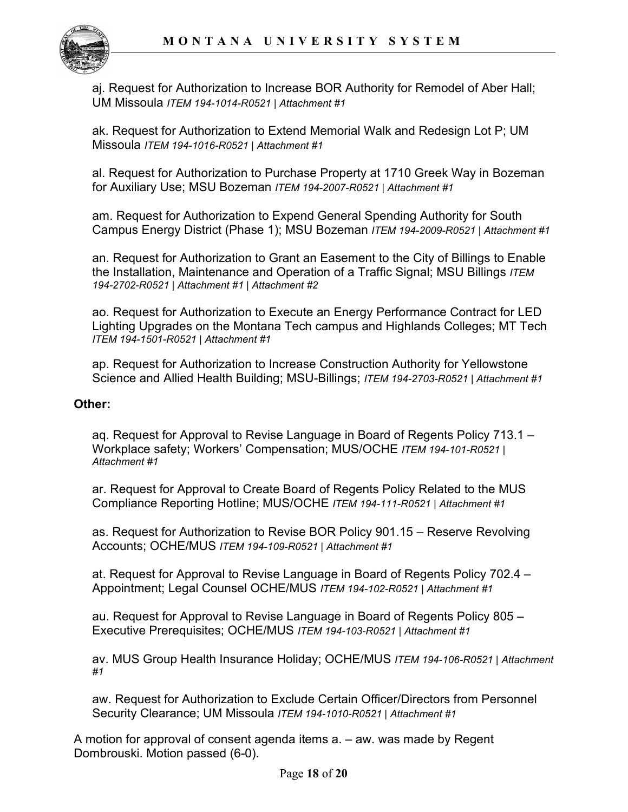

aj. Request for Authorization to Increase BOR Authority for Remodel of Aber Hall; UM Missoula *ITEM 194-1014-R0521 | Attachment #1*

ak. Request for Authorization to Extend Memorial Walk and Redesign Lot P; UM Missoula *ITEM 194-1016-R0521 | Attachment #1*

al. Request for Authorization to Purchase Property at 1710 Greek Way in Bozeman for Auxiliary Use; MSU Bozeman *ITEM 194-2007-R0521 | Attachment #1*

am. Request for Authorization to Expend General Spending Authority for South Campus Energy District (Phase 1); MSU Bozeman *ITEM 194-2009-R0521 | Attachment #1*

an. Request for Authorization to Grant an Easement to the City of Billings to Enable the Installation, Maintenance and Operation of a Traffic Signal; MSU Billings *ITEM 194-2702-R0521 | Attachment #1 | Attachment #2*

ao. Request for Authorization to Execute an Energy Performance Contract for LED Lighting Upgrades on the Montana Tech campus and Highlands Colleges; MT Tech *ITEM 194-1501-R0521 | Attachment #1*

ap. Request for Authorization to Increase Construction Authority for Yellowstone Science and Allied Health Building; MSU-Billings; *ITEM 194-2703-R0521 | Attachment #1* 

### **Other:**

aq. Request for Approval to Revise Language in Board of Regents Policy 713.1 – Workplace safety; Workers' Compensation; MUS/OCHE *ITEM 194-101-R0521 | Attachment #1*

ar. Request for Approval to Create Board of Regents Policy Related to the MUS Compliance Reporting Hotline; MUS/OCHE *ITEM 194-111-R0521 | Attachment #1*

as. Request for Authorization to Revise BOR Policy 901.15 – Reserve Revolving Accounts; OCHE/MUS *ITEM 194-109-R0521 | Attachment #1*

at. Request for Approval to Revise Language in Board of Regents Policy 702.4 – Appointment; Legal Counsel OCHE/MUS *ITEM 194-102-R0521 | Attachment #1*

au. Request for Approval to Revise Language in Board of Regents Policy 805 – Executive Prerequisites; OCHE/MUS *ITEM 194-103-R0521 | Attachment #1*

av. MUS Group Health Insurance Holiday; OCHE/MUS *ITEM 194-106-R0521 | Attachment #1*

aw. Request for Authorization to Exclude Certain Officer/Directors from Personnel Security Clearance; UM Missoula *ITEM 194-1010-R0521 | Attachment #1*

A motion for approval of consent agenda items a. – aw. was made by Regent Dombrouski. Motion passed (6-0).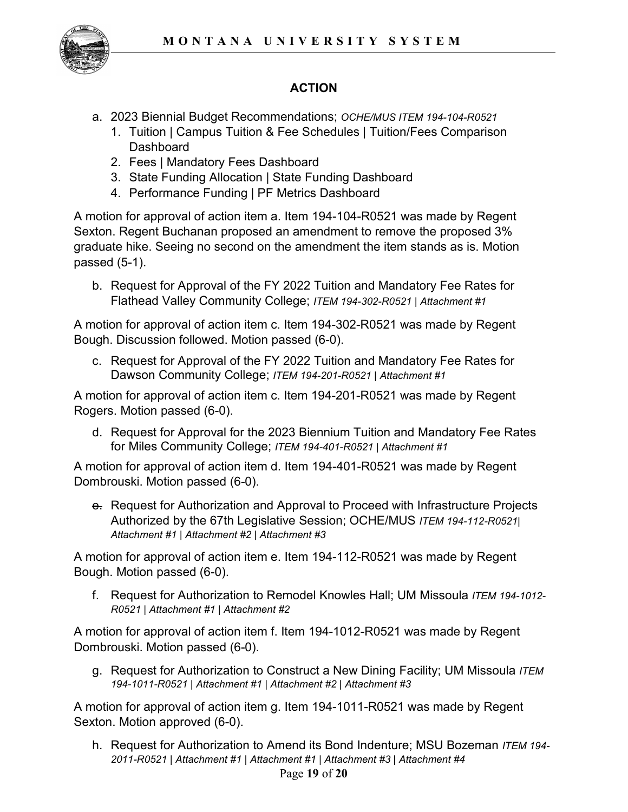

# **ACTION**

- a. 2023 Biennial Budget Recommendations; *OCHE/MUS ITEM 194-104-R0521*
	- 1. Tuition | Campus Tuition & Fee Schedules | Tuition/Fees Comparison **Dashboard**
	- 2. Fees | Mandatory Fees Dashboard
	- 3. State Funding Allocation | State Funding Dashboard
	- 4. Performance Funding | PF Metrics Dashboard

A motion for approval of action item a. Item 194-104-R0521 was made by Regent Sexton. Regent Buchanan proposed an amendment to remove the proposed 3% graduate hike. Seeing no second on the amendment the item stands as is. Motion passed (5-1).

b. Request for Approval of the FY 2022 Tuition and Mandatory Fee Rates for Flathead Valley Community College; *ITEM 194-302-R0521 | Attachment #1*

A motion for approval of action item c. Item 194-302-R0521 was made by Regent Bough. Discussion followed. Motion passed (6-0).

c. Request for Approval of the FY 2022 Tuition and Mandatory Fee Rates for Dawson Community College; *ITEM 194-201-R0521 | Attachment #1*

A motion for approval of action item c. Item 194-201-R0521 was made by Regent Rogers. Motion passed (6-0).

d. Request for Approval for the 2023 Biennium Tuition and Mandatory Fee Rates for Miles Community College; *ITEM 194-401-R0521 | Attachment #1*

A motion for approval of action item d. Item 194-401-R0521 was made by Regent Dombrouski. Motion passed (6-0).

**e.** Request for Authorization and Approval to Proceed with Infrastructure Projects Authorized by the 67th Legislative Session; OCHE/MUS *ITEM 194-112-R0521| Attachment #1 | Attachment #2 | Attachment #3*

A motion for approval of action item e. Item 194-112-R0521 was made by Regent Bough. Motion passed (6-0).

f. Request for Authorization to Remodel Knowles Hall; UM Missoula *ITEM 194-1012- R0521 | Attachment #1 | Attachment #2*

A motion for approval of action item f. Item 194-1012-R0521 was made by Regent Dombrouski. Motion passed (6-0).

g. Request for Authorization to Construct a New Dining Facility; UM Missoula *ITEM 194-1011-R0521 | Attachment #1 | Attachment #2 | Attachment #3*

A motion for approval of action item g. Item 194-1011-R0521 was made by Regent Sexton. Motion approved (6-0).

Page **19** of **20** h. Request for Authorization to Amend its Bond Indenture; MSU Bozeman *ITEM 194- 2011-R0521 | Attachment #1 | Attachment #1 | Attachment #3 | Attachment #4*